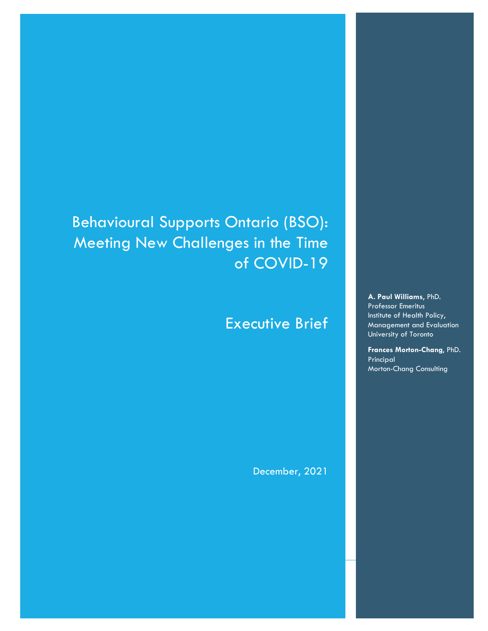Behavioural Supports Ontario (BSO): Meeting New Challenges in the Time of COVID-19

# Executive Brief

December, 2021

**A. Paul Williams**, PhD. Professor Emeritus Institute of Health Policy, Management and Evaluation University of Toronto

**Frances Morton-Chang**, PhD. Principal Morton-Chang Consulting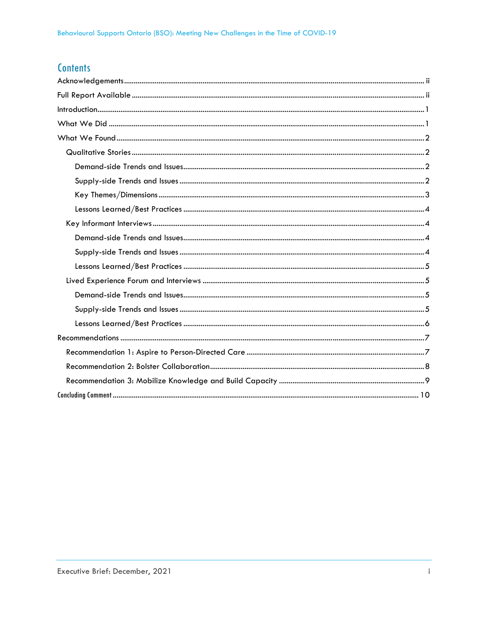# **Contents**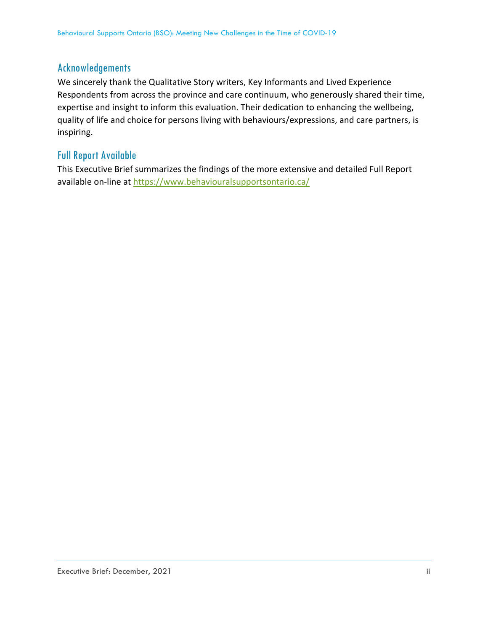# Acknowledgements

We sincerely thank the Qualitative Story writers, Key Informants and Lived Experience Respondents from across the province and care continuum, who generously shared their time, expertise and insight to inform this evaluation. Their dedication to enhancing the wellbeing, quality of life and choice for persons living with behaviours/expressions, and care partners, is inspiring.

# Full Report Available

This Executive Brief summarizes the findings of the more extensive and detailed Full Report available on-line at https://www.behaviouralsupportsontario.ca/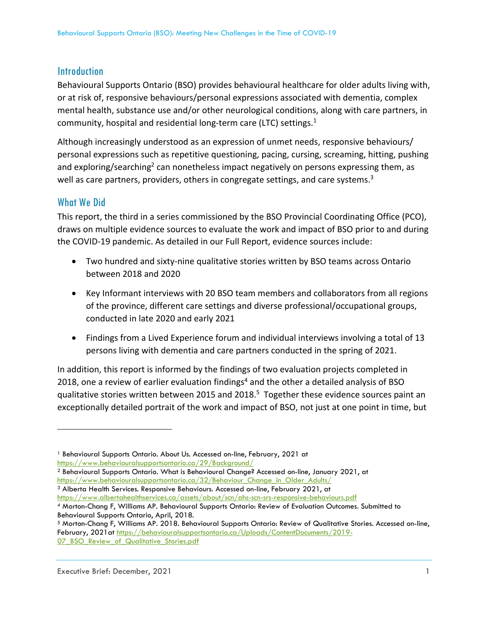# **Introduction**

Behavioural Supports Ontario (BSO) provides behavioural healthcare for older adults living with, or at risk of, responsive behaviours/personal expressions associated with dementia, complex mental health, substance use and/or other neurological conditions, along with care partners, in community, hospital and residential long-term care (LTC) settings.<sup>1</sup>

Although increasingly understood as an expression of unmet needs, responsive behaviours/ personal expressions such as repetitive questioning, pacing, cursing, screaming, hitting, pushing and exploring/searching<sup>2</sup> can nonetheless impact negatively on persons expressing them, as well as care partners, providers, others in congregate settings, and care systems.<sup>3</sup>

# What We Did

This report, the third in a series commissioned by the BSO Provincial Coordinating Office (PCO), draws on multiple evidence sources to evaluate the work and impact of BSO prior to and during the COVID‐19 pandemic. As detailed in our Full Report, evidence sources include:

- Two hundred and sixty-nine qualitative stories written by BSO teams across Ontario between 2018 and 2020
- Key Informant interviews with 20 BSO team members and collaborators from all regions of the province, different care settings and diverse professional/occupational groups, conducted in late 2020 and early 2021
- Findings from a Lived Experience forum and individual interviews involving a total of 13 persons living with dementia and care partners conducted in the spring of 2021.

In addition, this report is informed by the findings of two evaluation projects completed in 2018, one a review of earlier evaluation findings<sup>4</sup> and the other a detailed analysis of BSO qualitative stories written between 2015 and 2018.<sup>5</sup> Together these evidence sources paint an exceptionally detailed portrait of the work and impact of BSO, not just at one point in time, but

https://www.albertahealthservices.ca/assets/about/scn/ahs-scn-srs-responsive-behaviours.pdf

<sup>1</sup> Behavioural Supports Ontario. About Us. Accessed on-line, February, 2021 at https://www.behaviouralsupportsontario.ca/29/Background/

<sup>2</sup> Behavioural Supports Ontario. What is Behavioural Change? Accessed on-line, January 2021, at https://www.behaviouralsupportsontario.ca/32/Behaviour\_Change\_in\_Older\_Adults/<br><sup>3</sup> Alberta Health Services. Responsive Behaviours. Accessed on-line, February 2021, at

<sup>4</sup> Morton-Chang F, Williams AP. Behavioural Supports Ontario: Review of Evaluation Outcomes. Submitted to Behavioural Supports Ontario, April, 2018.

<sup>5</sup> Morton-Chang F, Williams AP. 2018. Behavioural Supports Ontario: Review of Qualitative Stories. Accessed on-line, February, 2021at https://behaviouralsupportsontario.ca/Uploads/ContentDocuments/2019- 07\_BSO\_Review\_of\_Qualitative\_Stories.pdf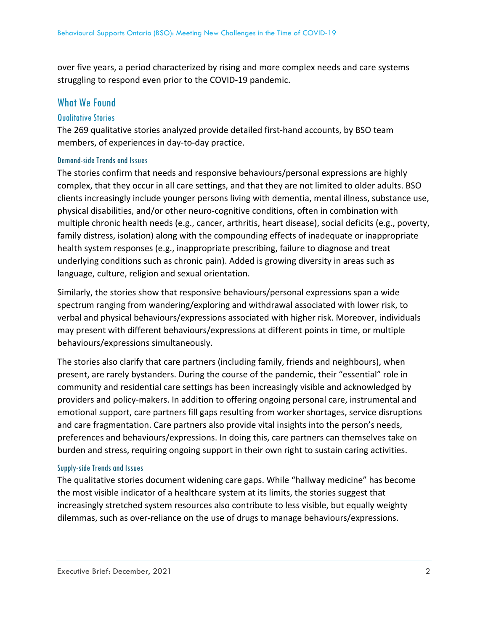over five years, a period characterized by rising and more complex needs and care systems struggling to respond even prior to the COVID‐19 pandemic.

# What We Found

### Qualitative Stories

The 269 qualitative stories analyzed provide detailed first-hand accounts, by BSO team members, of experiences in day‐to‐day practice.

#### Demand-side Trends and Issues

The stories confirm that needs and responsive behaviours/personal expressions are highly complex, that they occur in all care settings, and that they are not limited to older adults. BSO clients increasingly include younger persons living with dementia, mental illness, substance use, physical disabilities, and/or other neuro‐cognitive conditions, often in combination with multiple chronic health needs (e.g., cancer, arthritis, heart disease), social deficits (e.g., poverty, family distress, isolation) along with the compounding effects of inadequate or inappropriate health system responses (e.g., inappropriate prescribing, failure to diagnose and treat underlying conditions such as chronic pain). Added is growing diversity in areas such as language, culture, religion and sexual orientation.

Similarly, the stories show that responsive behaviours/personal expressions span a wide spectrum ranging from wandering/exploring and withdrawal associated with lower risk, to verbal and physical behaviours/expressions associated with higher risk. Moreover, individuals may present with different behaviours/expressions at different points in time, or multiple behaviours/expressions simultaneously.

The stories also clarify that care partners (including family, friends and neighbours), when present, are rarely bystanders. During the course of the pandemic, their "essential" role in community and residential care settings has been increasingly visible and acknowledged by providers and policy‐makers. In addition to offering ongoing personal care, instrumental and emotional support, care partners fill gaps resulting from worker shortages, service disruptions and care fragmentation. Care partners also provide vital insights into the person's needs, preferences and behaviours/expressions. In doing this, care partners can themselves take on burden and stress, requiring ongoing support in their own right to sustain caring activities.

### Supply-side Trends and Issues

The qualitative stories document widening care gaps. While "hallway medicine" has become the most visible indicator of a healthcare system at its limits, the stories suggest that increasingly stretched system resources also contribute to less visible, but equally weighty dilemmas, such as over‐reliance on the use of drugs to manage behaviours/expressions.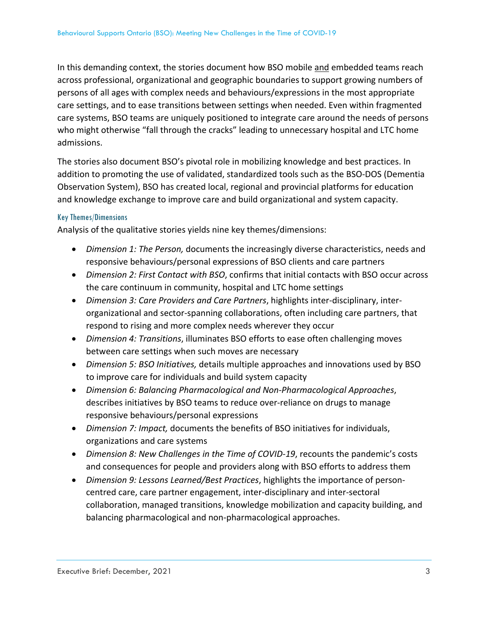In this demanding context, the stories document how BSO mobile and embedded teams reach across professional, organizational and geographic boundaries to support growing numbers of persons of all ages with complex needs and behaviours/expressions in the most appropriate care settings, and to ease transitions between settings when needed. Even within fragmented care systems, BSO teams are uniquely positioned to integrate care around the needs of persons who might otherwise "fall through the cracks" leading to unnecessary hospital and LTC home admissions.

The stories also document BSO's pivotal role in mobilizing knowledge and best practices. In addition to promoting the use of validated, standardized tools such as the BSO‐DOS (Dementia Observation System), BSO has created local, regional and provincial platforms for education and knowledge exchange to improve care and build organizational and system capacity.

### Key Themes/Dimensions

Analysis of the qualitative stories yields nine key themes/dimensions:

- *Dimension 1: The Person,* documents the increasingly diverse characteristics, needs and responsive behaviours/personal expressions of BSO clients and care partners
- *Dimension 2: First Contact with BSO*, confirms that initial contacts with BSO occur across the care continuum in community, hospital and LTC home settings
- *Dimension 3: Care Providers and Care Partners*, highlights inter‐disciplinary, inter‐ organizational and sector‐spanning collaborations, often including care partners, that respond to rising and more complex needs wherever they occur
- *Dimension 4: Transitions*, illuminates BSO efforts to ease often challenging moves between care settings when such moves are necessary
- *Dimension 5: BSO Initiatives,* details multiple approaches and innovations used by BSO to improve care for individuals and build system capacity
- *Dimension 6: Balancing Pharmacological and Non‐Pharmacological Approaches*, describes initiatives by BSO teams to reduce over‐reliance on drugs to manage responsive behaviours/personal expressions
- *Dimension 7: Impact,* documents the benefits of BSO initiatives for individuals, organizations and care systems
- *Dimension 8: New Challenges in the Time of COVID‐19*, recounts the pandemic's costs and consequences for people and providers along with BSO efforts to address them
- *Dimension 9: Lessons Learned/Best Practices*, highlights the importance of person‐ centred care, care partner engagement, inter‐disciplinary and inter‐sectoral collaboration, managed transitions, knowledge mobilization and capacity building, and balancing pharmacological and non‐pharmacological approaches.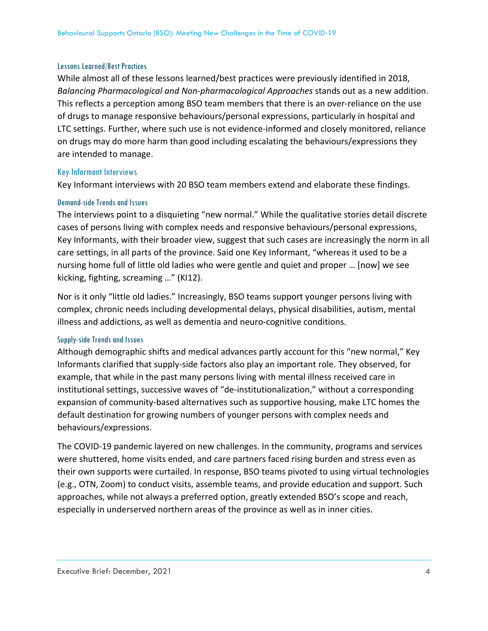#### Lessons Learned/Best Practices

While almost all of these lessons learned/best practices were previously identified in 2018, *Balancing Pharmacological and Non‐pharmacological Approaches* stands out as a new addition. This reflects a perception among BSO team members that there is an over‐reliance on the use of drugs to manage responsive behaviours/personal expressions, particularly in hospital and LTC settings. Further, where such use is not evidence‐informed and closely monitored, reliance on drugs may do more harm than good including escalating the behaviours/expressions they are intended to manage.

#### Key Informant Interviews

Key Informant interviews with 20 BSO team members extend and elaborate these findings.

#### Demand-side Trends and Issues

The interviews point to a disquieting "new normal." While the qualitative stories detail discrete cases of persons living with complex needs and responsive behaviours/personal expressions, Key Informants, with their broader view, suggest that such cases are increasingly the norm in all care settings, in all parts of the province. Said one Key Informant, "whereas it used to be a nursing home full of little old ladies who were gentle and quiet and proper … [now] we see kicking, fighting, screaming …" (KI12).

Nor is it only "little old ladies." Increasingly, BSO teams support younger persons living with complex, chronic needs including developmental delays, physical disabilities, autism, mental illness and addictions, as well as dementia and neuro‐cognitive conditions.

#### Supply-side Trends and Issues

Although demographic shifts and medical advances partly account for this "new normal," Key Informants clarified that supply‐side factors also play an important role. They observed, for example, that while in the past many persons living with mental illness received care in institutional settings, successive waves of "de‐institutionalization," without a corresponding expansion of community‐based alternatives such as supportive housing, make LTC homes the default destination for growing numbers of younger persons with complex needs and behaviours/expressions.

The COVID‐19 pandemic layered on new challenges. In the community, programs and services were shuttered, home visits ended, and care partners faced rising burden and stress even as their own supports were curtailed. In response, BSO teams pivoted to using virtual technologies (e.g., OTN, Zoom) to conduct visits, assemble teams, and provide education and support. Such approaches, while not always a preferred option, greatly extended BSO's scope and reach, especially in underserved northern areas of the province as well as in inner cities.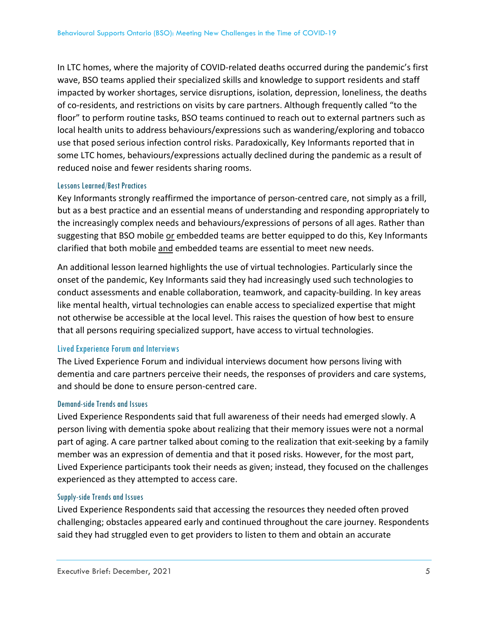In LTC homes, where the majority of COVID‐related deaths occurred during the pandemic's first wave, BSO teams applied their specialized skills and knowledge to support residents and staff impacted by worker shortages, service disruptions, isolation, depression, loneliness, the deaths of co‐residents, and restrictions on visits by care partners. Although frequently called "to the floor" to perform routine tasks, BSO teams continued to reach out to external partners such as local health units to address behaviours/expressions such as wandering/exploring and tobacco use that posed serious infection control risks. Paradoxically, Key Informants reported that in some LTC homes, behaviours/expressions actually declined during the pandemic as a result of reduced noise and fewer residents sharing rooms.

#### Lessons Learned/Best Practices

Key Informants strongly reaffirmed the importance of person-centred care, not simply as a frill, but as a best practice and an essential means of understanding and responding appropriately to the increasingly complex needs and behaviours/expressions of persons of all ages. Rather than suggesting that BSO mobile or embedded teams are better equipped to do this, Key Informants clarified that both mobile and embedded teams are essential to meet new needs.

An additional lesson learned highlights the use of virtual technologies. Particularly since the onset of the pandemic, Key Informants said they had increasingly used such technologies to conduct assessments and enable collaboration, teamwork, and capacity‐building. In key areas like mental health, virtual technologies can enable access to specialized expertise that might not otherwise be accessible at the local level. This raises the question of how best to ensure that all persons requiring specialized support, have access to virtual technologies.

### Lived Experience Forum and Interviews

The Lived Experience Forum and individual interviews document how persons living with dementia and care partners perceive their needs, the responses of providers and care systems, and should be done to ensure person‐centred care.

### Demand-side Trends and Issues

Lived Experience Respondents said that full awareness of their needs had emerged slowly. A person living with dementia spoke about realizing that their memory issues were not a normal part of aging. A care partner talked about coming to the realization that exit‐seeking by a family member was an expression of dementia and that it posed risks. However, for the most part, Lived Experience participants took their needs as given; instead, they focused on the challenges experienced as they attempted to access care.

### Supply-side Trends and Issues

Lived Experience Respondents said that accessing the resources they needed often proved challenging; obstacles appeared early and continued throughout the care journey. Respondents said they had struggled even to get providers to listen to them and obtain an accurate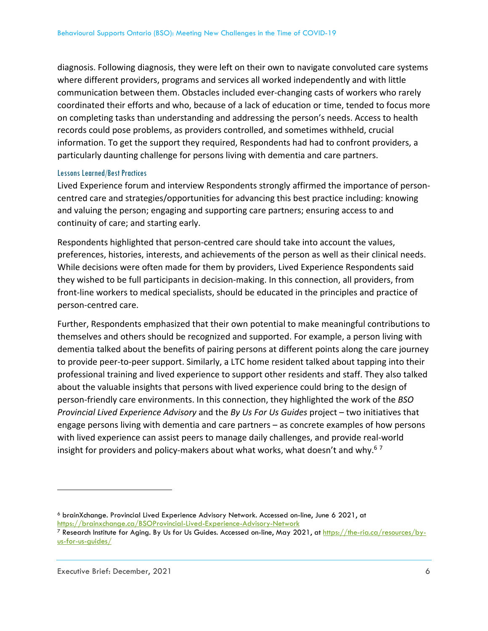diagnosis. Following diagnosis, they were left on their own to navigate convoluted care systems where different providers, programs and services all worked independently and with little communication between them. Obstacles included ever‐changing casts of workers who rarely coordinated their efforts and who, because of a lack of education or time, tended to focus more on completing tasks than understanding and addressing the person's needs. Access to health records could pose problems, as providers controlled, and sometimes withheld, crucial information. To get the support they required, Respondents had had to confront providers, a particularly daunting challenge for persons living with dementia and care partners.

#### Lessons Learned/Best Practices

Lived Experience forum and interview Respondents strongly affirmed the importance of person‐ centred care and strategies/opportunities for advancing this best practice including: knowing and valuing the person; engaging and supporting care partners; ensuring access to and continuity of care; and starting early.

Respondents highlighted that person‐centred care should take into account the values, preferences, histories, interests, and achievements of the person as well as their clinical needs. While decisions were often made for them by providers, Lived Experience Respondents said they wished to be full participants in decision‐making. In this connection, all providers, from front‐line workers to medical specialists, should be educated in the principles and practice of person‐centred care.

Further, Respondents emphasized that their own potential to make meaningful contributions to themselves and others should be recognized and supported. For example, a person living with dementia talked about the benefits of pairing persons at different points along the care journey to provide peer‐to‐peer support. Similarly, a LTC home resident talked about tapping into their professional training and lived experience to support other residents and staff. They also talked about the valuable insights that persons with lived experience could bring to the design of person‐friendly care environments. In this connection, they highlighted the work of the *BSO Provincial Lived Experience Advisory* and the *By Us For Us Guides* project – two initiatives that engage persons living with dementia and care partners – as concrete examples of how persons with lived experience can assist peers to manage daily challenges, and provide real‐world insight for providers and policy-makers about what works, what doesn't and why.<sup>67</sup>

<sup>6</sup> brainXchange. Provincial Lived Experience Advisory Network. Accessed on-line, June 6 2021, at

https://brainxchange.ca/BSOProvincial-Lived-Experience-Advisory-Network<br><sup>7</sup> Research Institute for Aging. By Us for Us Guides. Accessed on-line, May 2021, at <u>https://the-ria.ca/resources/by-</u> us-for-us-guides/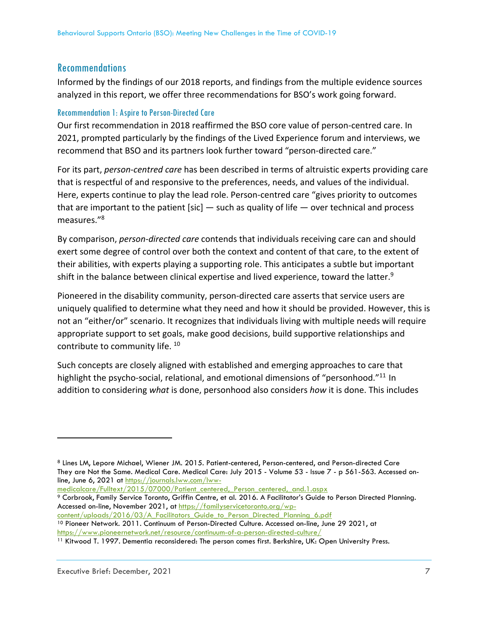# Recommendations

Informed by the findings of our 2018 reports, and findings from the multiple evidence sources analyzed in this report, we offer three recommendations for BSO's work going forward.

## Recommendation 1: Aspire to Person-Directed Care

Our first recommendation in 2018 reaffirmed the BSO core value of person-centred care. In 2021, prompted particularly by the findings of the Lived Experience forum and interviews, we recommend that BSO and its partners look further toward "person‐directed care."

For its part, *person‐centred care* has been described in terms of altruistic experts providing care that is respectful of and responsive to the preferences, needs, and values of the individual. Here, experts continue to play the lead role. Person-centred care "gives priority to outcomes" that are important to the patient [sic]  $-$  such as quality of life  $-$  over technical and process measures."8

By comparison, *person‐directed care* contends that individuals receiving care can and should exert some degree of control over both the context and content of that care, to the extent of their abilities, with experts playing a supporting role. This anticipates a subtle but important shift in the balance between clinical expertise and lived experience, toward the latter.<sup>9</sup>

Pioneered in the disability community, person‐directed care asserts that service users are uniquely qualified to determine what they need and how it should be provided. However, this is not an "either/or" scenario. It recognizes that individuals living with multiple needs will require appropriate support to set goals, make good decisions, build supportive relationships and contribute to community life. <sup>10</sup>

Such concepts are closely aligned with established and emerging approaches to care that highlight the psycho-social, relational, and emotional dimensions of "personhood."<sup>11</sup> In addition to considering *what* is done, personhood also considers *how* it is done. This includes

<sup>8</sup> Lines LM, Lepore Michael, Wiener JM. 2015. Patient-centered, Person-centered, and Person-directed Care They are Not the Same. Medical Care. Medical Care: July 2015 - Volume 53 - Issue 7 - p 561-563. Accessed online, June 6, 2021 at https://journals.lww.com/lww-

medicalcare/Fulltext/2015/07000/Patient\_centered,\_Person\_centered,\_and.1.aspx 9 Corbrook, Family Service Toronto, Griffin Centre, et al. 2016. A Facilitator's Guide to Person Directed Planning. Accessed on-line, November 2021, at https://familyservicetoronto.org/wp-

content/uploads/2016/03/A\_Facilitators\_Guide\_to\_Person\_Directed\_Planning\_6.pdf<br><sup>10</sup> Pioneer Network. 2011. Continuum of Person-Directed Culture. Accessed on-line, June 29 2021, at

https://www.pioneernetwork.net/resource/continuum-of-a-person-directed-culture/<br><sup>11</sup> Kitwood T. 1997. Dementia reconsidered: The person comes first. Berkshire, UK: Open University Press.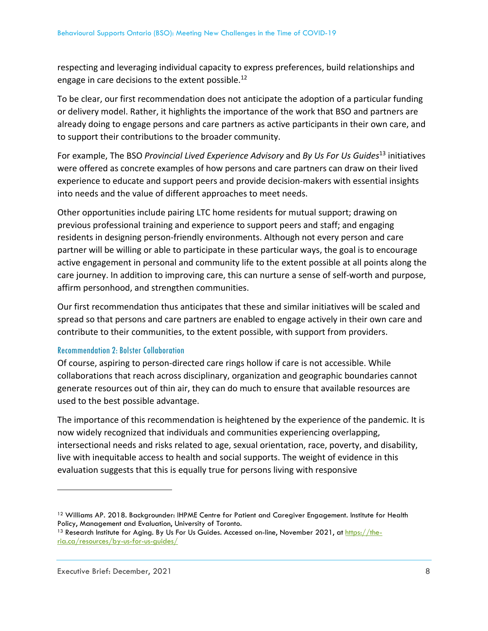respecting and leveraging individual capacity to express preferences, build relationships and engage in care decisions to the extent possible.<sup>12</sup>

To be clear, our first recommendation does not anticipate the adoption of a particular funding or delivery model. Rather, it highlights the importance of the work that BSO and partners are already doing to engage persons and care partners as active participants in their own care, and to support their contributions to the broader community.

For example, The BSO *Provincial Lived Experience Advisory* and *By Us For Us Guides*<sup>13</sup> initiatives were offered as concrete examples of how persons and care partners can draw on their lived experience to educate and support peers and provide decision‐makers with essential insights into needs and the value of different approaches to meet needs.

Other opportunities include pairing LTC home residents for mutual support; drawing on previous professional training and experience to support peers and staff; and engaging residents in designing person‐friendly environments. Although not every person and care partner will be willing or able to participate in these particular ways, the goal is to encourage active engagement in personal and community life to the extent possible at all points along the care journey. In addition to improving care, this can nurture a sense of self‐worth and purpose, affirm personhood, and strengthen communities.

Our first recommendation thus anticipates that these and similar initiatives will be scaled and spread so that persons and care partners are enabled to engage actively in their own care and contribute to their communities, to the extent possible, with support from providers.

# Recommendation 2: Bolster Collaboration

Of course, aspiring to person‐directed care rings hollow if care is not accessible. While collaborations that reach across disciplinary, organization and geographic boundaries cannot generate resources out of thin air, they can do much to ensure that available resources are used to the best possible advantage.

The importance of this recommendation is heightened by the experience of the pandemic. It is now widely recognized that individuals and communities experiencing overlapping, intersectional needs and risks related to age, sexual orientation, race, poverty, and disability, live with inequitable access to health and social supports. The weight of evidence in this evaluation suggests that this is equally true for persons living with responsive

<sup>&</sup>lt;sup>12</sup> Williams AP. 2018. Backgrounder: IHPME Centre for Patient and Caregiver Engagement. Institute for Health Policy, Management and Evaluation, University of Toronto.<br><sup>13</sup> Research Institute for Aging. By Us For Us Guides. Accessed on-line, November 2021, at <u>https://the-</u>

ria.ca/resources/by-us-for-us-guides/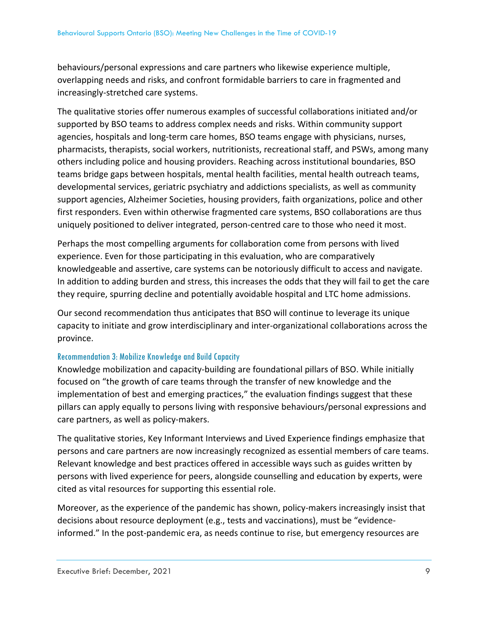behaviours/personal expressions and care partners who likewise experience multiple, overlapping needs and risks, and confront formidable barriers to care in fragmented and increasingly‐stretched care systems.

The qualitative stories offer numerous examples of successful collaborations initiated and/or supported by BSO teams to address complex needs and risks. Within community support agencies, hospitals and long‐term care homes, BSO teams engage with physicians, nurses, pharmacists, therapists, social workers, nutritionists, recreational staff, and PSWs, among many others including police and housing providers. Reaching across institutional boundaries, BSO teams bridge gaps between hospitals, mental health facilities, mental health outreach teams, developmental services, geriatric psychiatry and addictions specialists, as well as community support agencies, Alzheimer Societies, housing providers, faith organizations, police and other first responders. Even within otherwise fragmented care systems, BSO collaborations are thus uniquely positioned to deliver integrated, person‐centred care to those who need it most.

Perhaps the most compelling arguments for collaboration come from persons with lived experience. Even for those participating in this evaluation, who are comparatively knowledgeable and assertive, care systems can be notoriously difficult to access and navigate. In addition to adding burden and stress, this increases the odds that they will fail to get the care they require, spurring decline and potentially avoidable hospital and LTC home admissions.

Our second recommendation thus anticipates that BSO will continue to leverage its unique capacity to initiate and grow interdisciplinary and inter‐organizational collaborations across the province.

# Recommendation 3: Mobilize Knowledge and Build Capacity

Knowledge mobilization and capacity‐building are foundational pillars of BSO. While initially focused on "the growth of care teams through the transfer of new knowledge and the implementation of best and emerging practices," the evaluation findings suggest that these pillars can apply equally to persons living with responsive behaviours/personal expressions and care partners, as well as policy‐makers.

The qualitative stories, Key Informant Interviews and Lived Experience findings emphasize that persons and care partners are now increasingly recognized as essential members of care teams. Relevant knowledge and best practices offered in accessible ways such as guides written by persons with lived experience for peers, alongside counselling and education by experts, were cited as vital resources for supporting this essential role.

Moreover, as the experience of the pandemic has shown, policy-makers increasingly insist that decisions about resource deployment (e.g., tests and vaccinations), must be "evidence‐ informed." In the post‐pandemic era, as needs continue to rise, but emergency resources are